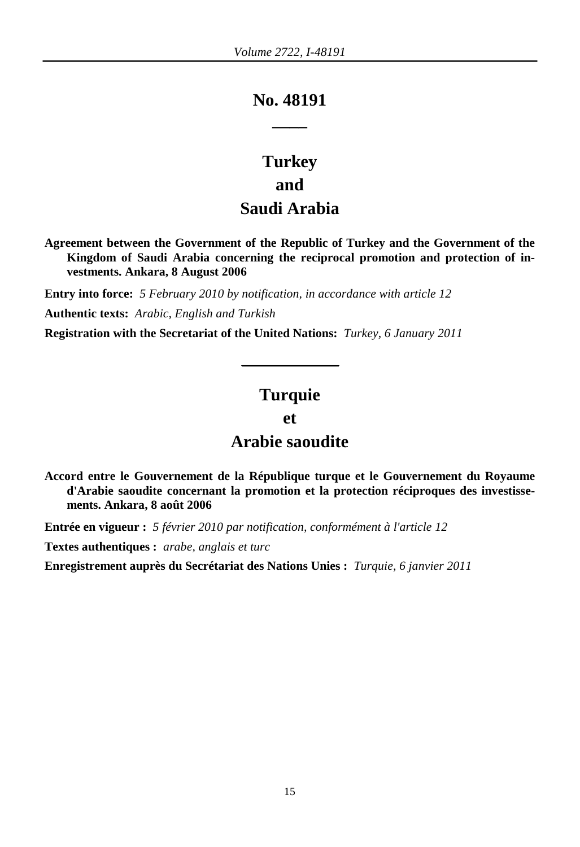# **No. 48191 \_\_\_\_**

# **Turkey and Saudi Arabia**

**Agreement between the Government of the Republic of Turkey and the Government of the Kingdom of Saudi Arabia concerning the reciprocal promotion and protection of investments. Ankara, 8 August 2006**

**Entry into force:** *5 February 2010 by notification, in accordance with article 12*  **Authentic texts:** *Arabic, English and Turkish*

**Registration with the Secretariat of the United Nations:** *Turkey, 6 January 2011*

## **Turquie**

#### **et**

## **Arabie saoudite**

**Accord entre le Gouvernement de la République turque et le Gouvernement du Royaume d'Arabie saoudite concernant la promotion et la protection réciproques des investissements. Ankara, 8 août 2006**

**Entrée en vigueur :** *5 février 2010 par notification, conformément à l'article 12* 

**Textes authentiques :** *arabe, anglais et turc*

**Enregistrement auprès du Secrétariat des Nations Unies :** *Turquie, 6 janvier 2011*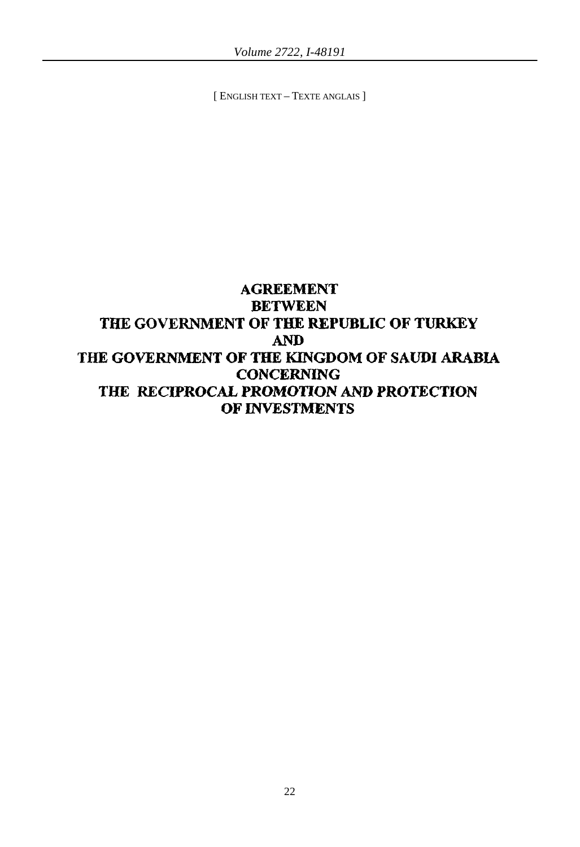[ ENGLISH TEXT – TEXTE ANGLAIS ]

## AGREEMENT BETWEEN THE GOVERNMENT OF THE REPUBLIC OF TURKEY AND THE GOVERNMENT OF THE KINGDOM OF SAUDI ARABIA **CONCERNING** THE RECIPROCAL PROMOTION AND PROTECTION OF INVESTMENTS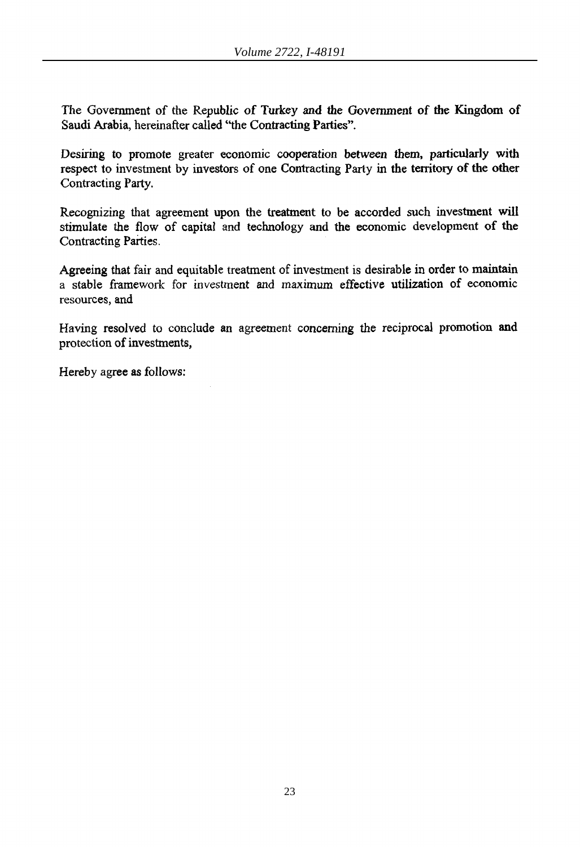The Government of the Republic of Turkey and the Government of the Kingdom of Saudi Arabia, hereinafter called "the Contracting Parties".

Desiring to promote greater economic cooperation between them, particularly with respect to investment by investors of one Contracting Party in the territory of the other Contracting Party.

Recognizing that agreement upon the treatment to be accorded such investment will stimulate the flow of capital and technology and the economic development of the Contracting Parties.

Agreeing that fair and equitable treatment of investment is desirable in order to maintain a stable framework for investment and maximum effective utilization of economic resources, and

Having resolved to conclude an agreement concerning the reciprocal promotion and protection of investments,

Hereby agree as follows: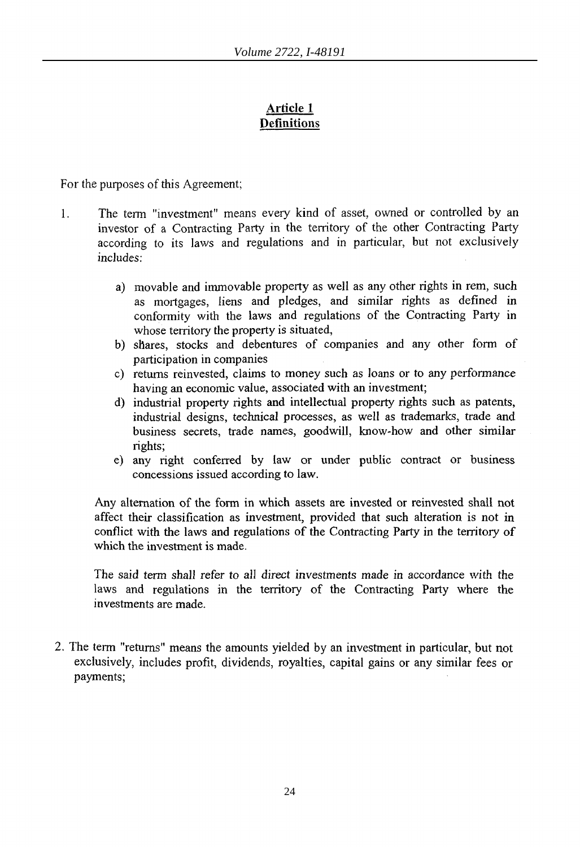## **Article 1 Definitions**

For the purposes of this Agreement;

- 1. The tenn "investment" means every kind of asset, owned or controlled by an investor of a Contracting Party in the territory of the other Contracting Party according to its laws and regulations and in particular, but not exclusively includes:
	- a) movable and immovable property as well as any other rights in rem, such as mortgages, liens and pledges, and similar rights as defined in conformity with the laws and regulations of the Contracting Party in whose territory the property is situated,
	- b) shares, stocks and debentures of companies and any other form of participation in companies
	- c) returns reinvested, claims to money such as loans or to any performance having an economic value, associated with an investment;
	- d) industrial property rights and intellectual property rights such as patents, industrial designs, technical processes, as well as trademarks, trade and business secrets, trade names, goodwill, know~how and other similar rights;
	- e) any right conferred by law or under public contract or business concessions issued according to law.

Any alternation of the form in which assets are invested or reinvested shall not affect their classification as investment, provided that such alteration is not in conflict with the laws and regulations of the Contracting Party in the territory of which the investment is made.

The said term shall refer to all direct investments made in accordance with the laws and regulations in the territory of the Contracting Party where the investments are made.

2. The term "returns" means the amounts yielded by an investment in particular, but not exclusively, includes profit, dividends, royalties, capital gains or any similar fees or payments;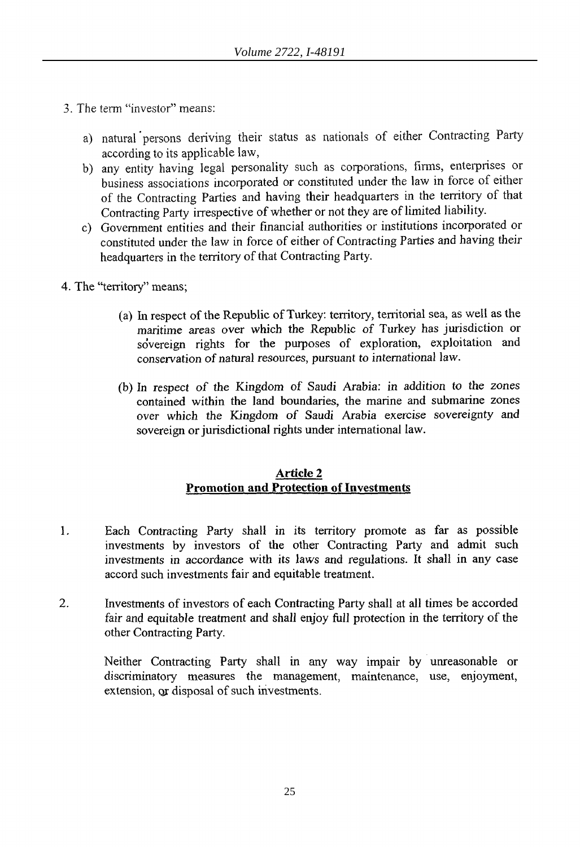- 3. The tenn "investor" means:
	- a) natural persons deriving their status as nationals of either Contracting Party according to its applicable law,
	- b) any entity having legal personality such as corporations, firms, enterprises or business associations incorporated or constituted under the law in force of either of the Contracting Parties and having their headquarters in the territory of that Contracting Party irrespective of whether or not they are of limited liability.
	- c) Government entities and their financial authorities or institutions incorporated or constituted under the law in force of either of Contracting Parties and having their headquarters in the territory of that Contracting Party.
- 4. The "territory" means;
	- (a) In respect of the Republic of Turkey: territory, territorial sea, as well as the maritime areas over which the Republic of Turkey has jurisdiction or sovereign rights for the purposes of exploration, exploitation and conservation of natural resources, pursuant to international law.
	- (b) In respect of the Kingdom of Saudi Arabia: in addition to the zones contained within the land boundaries, the marine and submarine zones over which the *Kingdom* of Saudi Arabia exercise sovereignty and sovereign or jurisdictional rights under international law.

#### Article 2 Promotion and Protection of Investments

- 1. Each Contracting Party shall in its territory promote as far as possible investments by investors of the other Contracting Party and admit such investments in accordance with its laws and regulations. It shall in any case accord such investments fair and equitable treatment.
- 2. Investments of investors of each Contracting Party shall at all times be accorded fair and equitable treatment and shall enjoy full protection in the territory of the other Contracting Party.

Neither Contracting Party shall in any way impair by unreasonable or discriminatory measures the management, maintenance, use, enjoyment, extension, or disposal of such investments.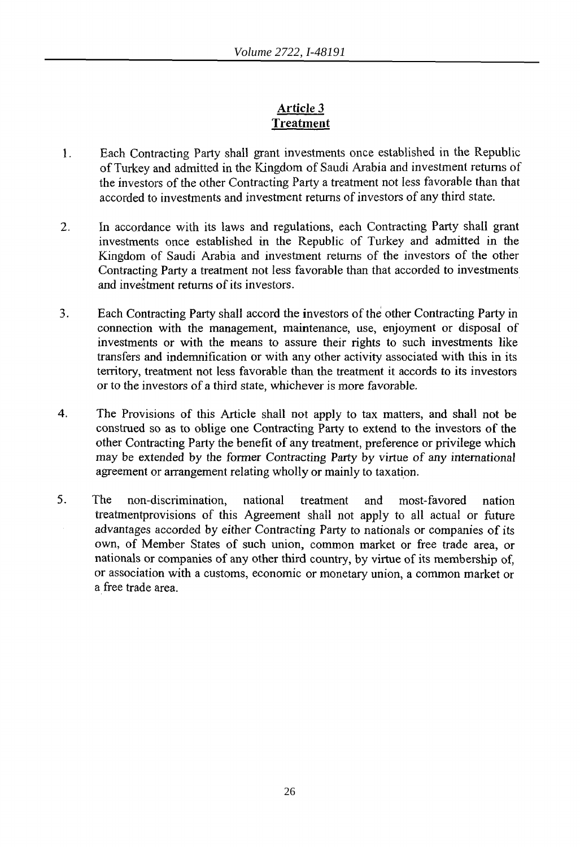## **Article 3 Treatment**

- 1. Each Contracting Party shall grant investments once established in the Republic of Turkey and admitted in the Kingdom of Saudi Arabia and investment returns of the investors of the other Contracting Party a treatment not less favorable than that accorded to investments and investment returns of investors of any third state.
- 2. In accordance with its laws and regulations, each Contracting Party shall grant investments once established in the Republic of Turkey and admitted in the Kingdom of Saudi Arabia and investment returns of the investors of the other Contracting Party a treatment not less favorable than that accorded to investments and investment returns of its investors.
- 3. Each Contracting Party shall accord the investors of the other Contracting Party in connection with the management, maintenance, use, enjoyment or disposal of investments or with the means to assure their rights to such investments like transfers and indemnification or with any other activity associated with this in its territory, treatment not less favorable than the treatment it accords to its investors or to the investors of a third state, whichever is more favorable.
- 4. The Provisions of this Article shall not apply to tax matters, and shall not be construed so as to oblige one Contracting Party to extend to the investors of the other Contracting Party the benefit of any treatment, preference or privilege which may be extended by the former Contracting Party by virtue of any international agreement or arrangement relating wholly or mainly to taxation.
- 5. The non-discrimination, national treatment and most-favored nation treatmentprovisions of this Agreement shall not apply to all actual or future advantages accorded by either Contracting Party to nationals or companies of its own, of Member States of such union, common market or free trade area, or nationals or companies of any other third country, by virtue of its membership of, or association with a customs, economic or monetary union, a common market or a free trade area.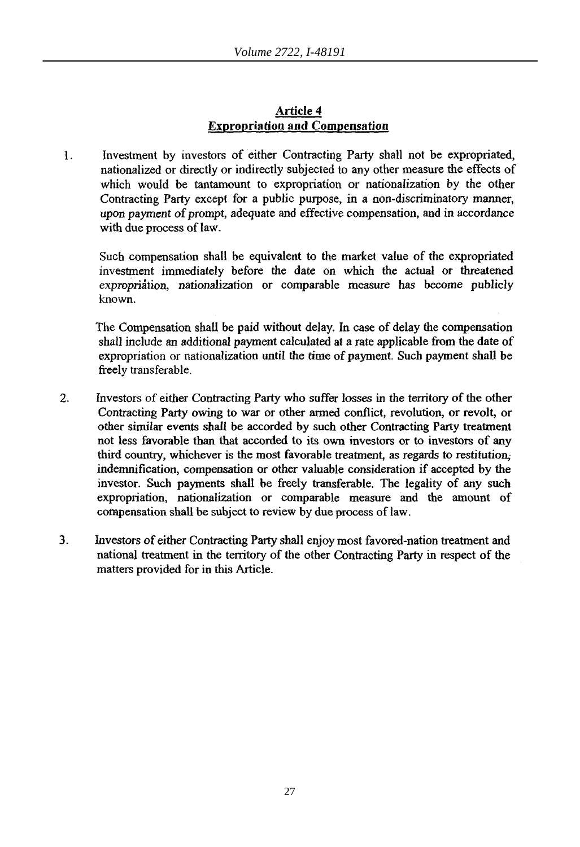#### Article 4 Expropriation and Compensation

1. Investment by investors of either Contracting Party shall not be expropriated, nationalized or directly or indirectly subjected to any other measure the effects of which would be tantamount to expropriation or nationalization by the other Contracting Party except for a public purpose, in a non-discriminatory manner, upon payment of prompt, adequate and effective compensation, and in accordance with due process of law.

Such compensation shall be equivalent to the market value of the expropriated investment immediately before the date on which *the* actual or threatened expropriation, nationalization or comparable measure has become publicly known.

The Compensation shall be paid without delay. In case of delay the compensation shall include an additional payment calculated at a rate applicable from the date of expropriation or nationalization until the time of payment. Such payment shall be freely transferable.

- 2. Investors of either Contracting Party who suffer losses in the territory of the other Contracting Party owing to war or other armed conflict, revolution, or revolt, or other similar events shall be accorded by such other Contracting Party treatment not less favorable than that accorded to its own investors or to investors of any third country, whichever is the most favorable treatment, as regards to restitution; indemnification, compensation or other valuable consideration if accepted by the investor. Such payments shall be freely transferable. The legality of any such expropriation, nationalization or comparable measure and the amount of compensation shall be subject to review by due process of law.
- 3. Investors of either Contracting Party shall enjoy most favored-nation treatment and national treatment in the territory of the other Contracting Party in respect of the matters provided for in this Article.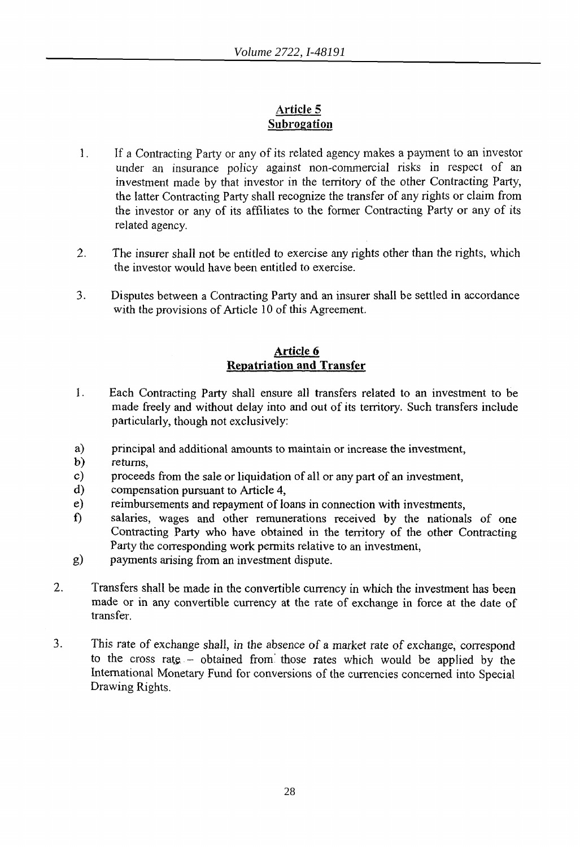#### Article 5 Subrogation

- 1. If a Contracting Party or any of its related agency makes a payment to an investor under an insurance policy against non-commercial risks in respect of an investment made by that investor in the territory of the other Contracting Party, the latter Contracting Party shall recognize the transfer of any rights or claim from the investor or any of its affiliates to the former Contracting Party or any of its related agency.
- 2. The insurer shall not be entitled to exercise any rights other than the rights, which the investor would have been entitled to exercise.
- 3. Disputes between a Contracting Party and an insurer shall be settled in accordance with the provisions of Article 10 of this Agreement.

#### Article 6 Repatriation and Transfer

- 1. Each Contracting party shall ensure all transfers related to an investment to be made freely and without delay into and out of its territory. Such transfers include particularly, though not exclusively:
- a) principal and additional amounts to maintain or increase the investment,
- b) returns,
- c) proceeds from the sale or liquidation of all or any part of an investment,
- d) compensation pursuant to Article 4,
- e) reimbursements and repayment of loans in connection with investments,
- f) salaries, wages and other remunerations received by the nationals of one Contracting Party who have obtained in the territory of the other Contracting Party the corresponding work permits relative to an investment,
- g) payments arising from an investment dispute.
- 2. Transfers shall be made in the convertible currency in which the investment has been made or in any convertible currency at the rate of exchange in force at the date of transfer.
- 3. This rate of exchange shall, in the absence of a market rate of exchange, correspond to the cross rate  $-$  obtained from those rates which would be applied by the International Monetary Fund for conversions of the currencies concerned into Special Drawing Rights.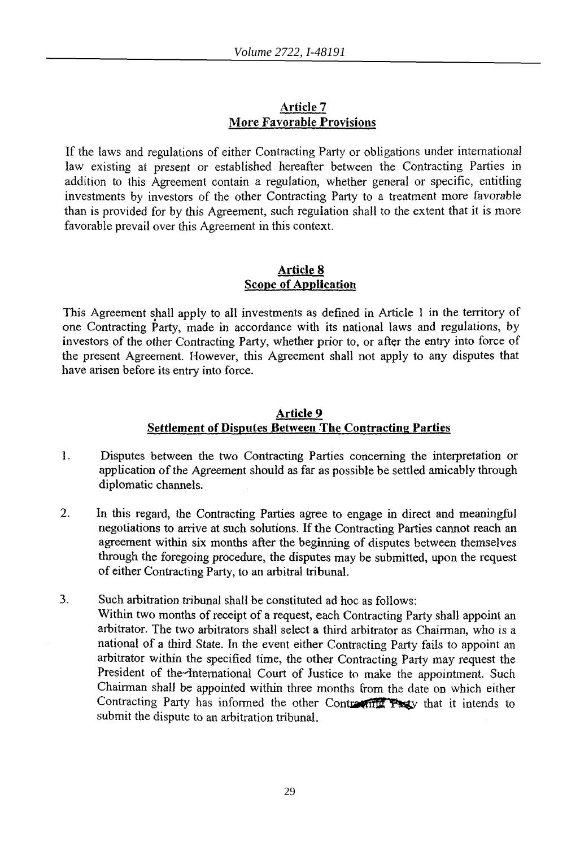#### Article 7 More Favorable Provisions

If the laws and regulations of either Contracting Party or obligations under international law existing at present or established hereafter between the Contracting Parties in addition to this Agreement contain a regulation, whether general or specific, entitling investments by investors of the other Contracting Party to a treatment more favorable than is provided for by this Agreement, such regulation shall to the extent that it is more favorable prevail over this Agreement in this context.

#### Article 8 Scope of Application

This Agreement shall apply to all investments as defined in Article 1 in the territory of one Contracting Party, made in accordance with its national laws and regulations, by investors of the other Contracting Party, whether prior to, or after the entry into force of the present Agreement. However, this Agreement shall not apply to any disputes that have arisen before its entry into force.

#### Article 9 Settlement of Disputes Between The Contracting Parties

- 1. Disputes between the two Contracting Parties concerning the interpretation or application of the Agreement should as far as possible be settled amicably through diplomatic channels.
- 2. In this regard, the Contracting Parties agree to engage in direct and meaningful negotiations to arrive at such solutions. If the Contracting Parties cannot reach an agreement within six months after the beginning of disputes between themselves through the foregoing procedure, the disputes may be submitted, upon the request of either Contracting Party, to an arbitral tribunal.
- 3. Such arbitration tribunal shall be constituted ad hoc as follows: Within two months of receipt of a request, each Contracting Party shall appoint an arbitrator. The two arbitrators shall select a third arbitrator as Chairman, who is a national of a third State. In the event either Contracting Party fails to appoint an arbitrator within the specified time, the other Contracting Party may request the President of the International Court of Justice to make the appointment. Such Chairman shall be appointed within three months from the date on which either Contracting Party has informed the other Contracting Party that it intends to submit the dispute to an arbitration tribunal.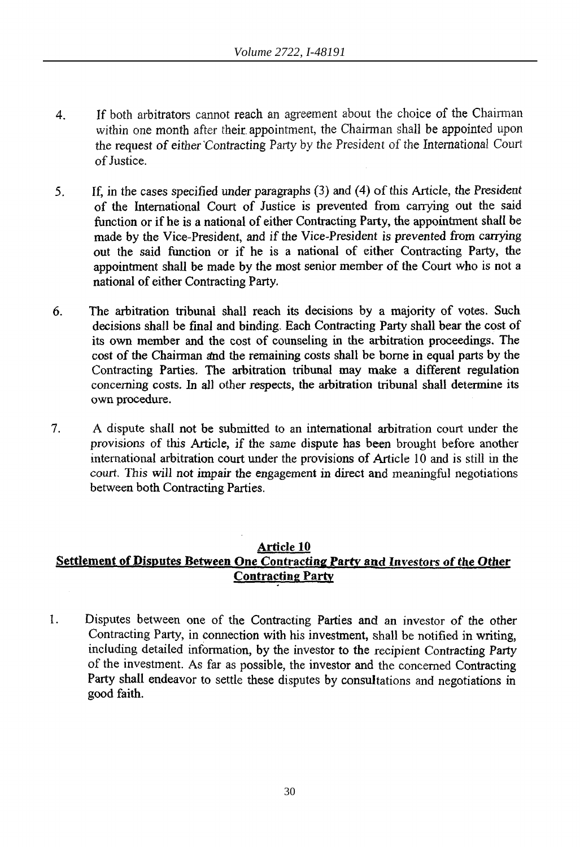- 4. If both arbitrators cannot reach an agreement about the choice of the Chairman within one month after their. appointment, the Chairman shall be appointed upon the request of either *'Contracting* Party by the President of the International Court of Justice.
- 5. If, *in* the cases specified under paragraphs (3) and (4) of this Article, the President of the International Court of Justice is prevented from canying out the said function or if he is a national of either Contracting Party, the appointment shall be made by the Vice-President, and if the Vice-President is prevented from canying out the said function or if he is a national of either Contracting Party, the appointment shall be made by the most senior member of the Court who is not a national of either Contracting Party.
- 6. The arbitration tribunal shall reach its decisions by a majority of votes. Such decisions shall be final and binding. Each Contracting Party shall bear the cost of its own member and the cost of counseling in the arbitration proceedings. The cost of the Chairman and the remaining costs shall be borne in equal parts by the Contracting Parties. The arbitration tribunal may make a different regulation concerning costs. In all other respects, the arbitration tribunal shall determine its own procedure.
- 7. A dispute shall not be submitted to an international arbitration court under the provisions of this Article, if the same dispute has been brought before another international arbitration court under the provisions of Article 10 and is still in the court. This will not impair the engagement in direct and meaningful negotiations between both Contracting Parties.

#### Article 10

## Settlement of Disputes Between One Contracting Party and Investors of *the* Other Contracting Party

1. Disputes between one of the Contracting Parties and an investor of the other Contracting Party, in connection with his investment, shall be notified in writing, including detailed information, by the investor to the recipient Contracting Party of the investment. As far as possible, the investor and the concerned Contracting Party shall endeavor to settle these disputes by consultations and negotiations in good faith.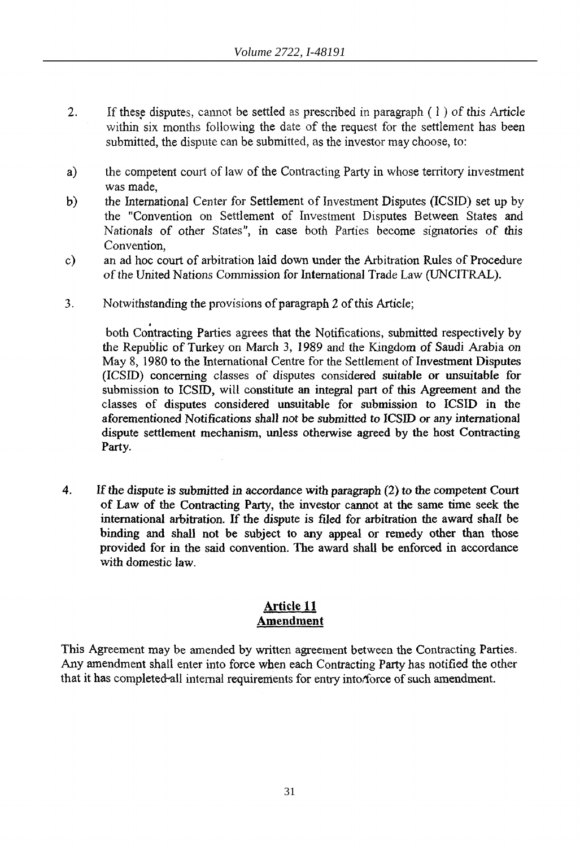- 2. If these disputes, cannot be settled as prescribed in paragraph  $(1)$  of this Article within six months following the date of the request for the settlement has been submitted, the dispute can be submitted, as the investor may choose, to:
- a) the competent court of law of the Contracting Party in whose territory investment was made,
- b) the International Center for Settlement of Investment Disputes (ICSID) set up by the "Convention on Settlement of Investment Disputes Between States and Nationals of other States", in case both Parties become signatories of this Convention,
- c) an ad hoc court of arbitration laid down under the Arbitration Rules of Procedure of the United Nations Commission for International Trade Law (UNCITRAL).
- 3. Notwithstanding the provisions of paragraph 2 of this Article;

both Contracting Parties agrees that the Notifications, submitted respectively by the Republic of Turkey on March 3, 1989 and the Kingdom of Saudi Arabia on May 8, 1980 to the International Centre for the Settlement of Investment Disputes (ICSID) concerning classes of disputes considered suitable or unsuitable for submission to ICSID, will constitute an integral part of this Agreement and the classes of disputes considered unsuitable for submission to ICSID in the aforementioned Notifications shall not be submitted to ICSID or any international dispute settlement mechanism, unless otherwise agreed by the host Contracting Party.

4. If the dispute is submitted in accordance with paragraph (2) to the competent Court of Law of the Contracting Party, the investor cannot at the same time seek the international arbitration. If the dispute is filed for arbitration the award shall be binding and shall not be subject to any appeal or remedy other than those provided for in the said convention. The award shall be enforced in accordance with domestic law.

#### Article **11**  Amendment

This Agreement may be amended by written agreement between the Contracting Parties. Any amendment shall enter into force when each Contracting Party has notified the other that it has completed all internal requirements for entry intorforce of such amendment.